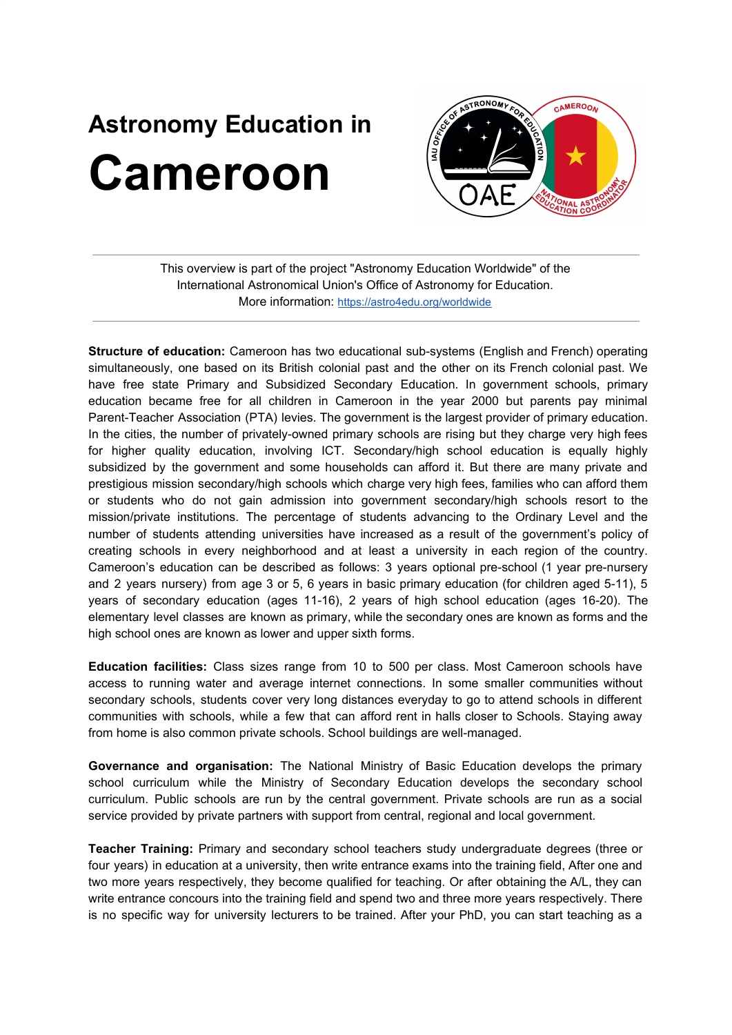## **Astronomy Education in Cameroon**



This overview is part of the project "Astronomy Education Worldwide" of the International Astronomical Union's Office of Astronomy for Education. More information: <https://astro4edu.org/worldwide>

**Structure of education:** Cameroon has two educational sub-systems (English and French) operating simultaneously, one based on its British colonial past and the other on its French colonial past. We have free state Primary and Subsidized Secondary Education. In government schools, primary education became free for all children in Cameroon in the year 2000 but parents pay minimal Parent-Teacher Association (PTA) levies. The government is the largest provider of primary education. In the cities, the number of privately-owned primary schools are rising but they charge very high fees for higher quality education, involving ICT. Secondary/high school education is equally highly subsidized by the government and some households can afford it. But there are many private and prestigious mission secondary/high schools which charge very high fees, families who can afford them or students who do not gain admission into government secondary/high schools resort to the mission/private institutions. The percentage of students advancing to the Ordinary Level and the number of students attending universities have increased as a result of the government's policy of creating schools in every neighborhood and at least a university in each region of the country. Cameroon's education can be described as follows: 3 years optional pre-school (1 year pre-nursery and 2 years nursery) from age 3 or 5, 6 years in basic primary education (for children aged 5-11), 5 years of secondary education (ages 11-16), 2 years of high school education (ages 16-20). The elementary level classes are known as primary, while the secondary ones are known as forms and the high school ones are known as lower and upper sixth forms.

**Education facilities:** Class sizes range from 10 to 500 per class. Most Cameroon schools have access to running water and average internet connections. In some smaller communities without secondary schools, students cover very long distances everyday to go to attend schools in different communities with schools, while a few that can afford rent in halls closer to Schools. Staying away from home is also common private schools. School buildings are well-managed.

**Governance and organisation:** The National Ministry of Basic Education develops the primary school curriculum while the Ministry of Secondary Education develops the secondary school curriculum. Public schools are run by the central government. Private schools are run as a social service provided by private partners with support from central, regional and local government.

**Teacher Training:** Primary and secondary school teachers study undergraduate degrees (three or four years) in education at a university, then write entrance exams into the training field, After one and two more years respectively, they become qualified for teaching. Or after obtaining the A/L, they can write entrance concours into the training field and spend two and three more years respectively. There is no specific way for university lecturers to be trained. After your PhD, you can start teaching as a